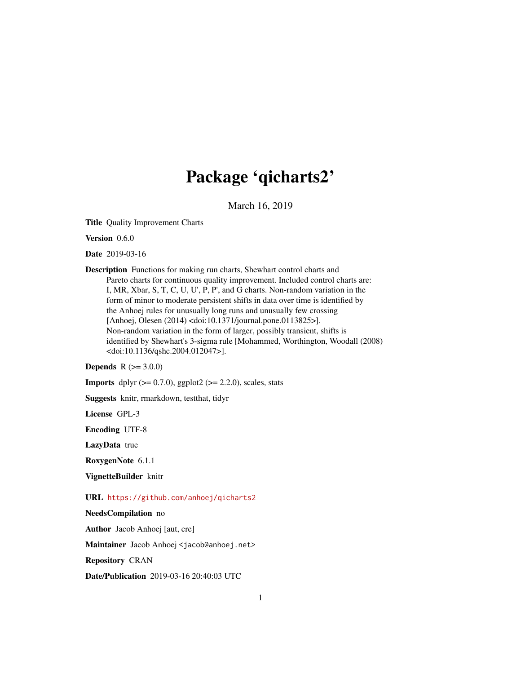## Package 'qicharts2'

March 16, 2019

Title Quality Improvement Charts

Version 0.6.0

Date 2019-03-16

Description Functions for making run charts, Shewhart control charts and Pareto charts for continuous quality improvement. Included control charts are: I, MR, Xbar, S, T, C, U, U', P, P', and G charts. Non-random variation in the form of minor to moderate persistent shifts in data over time is identified by the Anhoej rules for unusually long runs and unusually few crossing [Anhoej, Olesen (2014) <doi:10.1371/journal.pone.0113825>]. Non-random variation in the form of larger, possibly transient, shifts is identified by Shewhart's 3-sigma rule [Mohammed, Worthington, Woodall (2008) <doi:10.1136/qshc.2004.012047>].

**Depends**  $R (= 3.0.0)$ 

**Imports** dplyr  $(>= 0.7.0)$ , ggplot2  $(>= 2.2.0)$ , scales, stats

Suggests knitr, rmarkdown, testthat, tidyr

License GPL-3

Encoding UTF-8

LazyData true

RoxygenNote 6.1.1

VignetteBuilder knitr

URL <https://github.com/anhoej/qicharts2>

NeedsCompilation no

Author Jacob Anhoej [aut, cre]

Maintainer Jacob Anhoej <jacob@anhoej.net>

Repository CRAN

Date/Publication 2019-03-16 20:40:03 UTC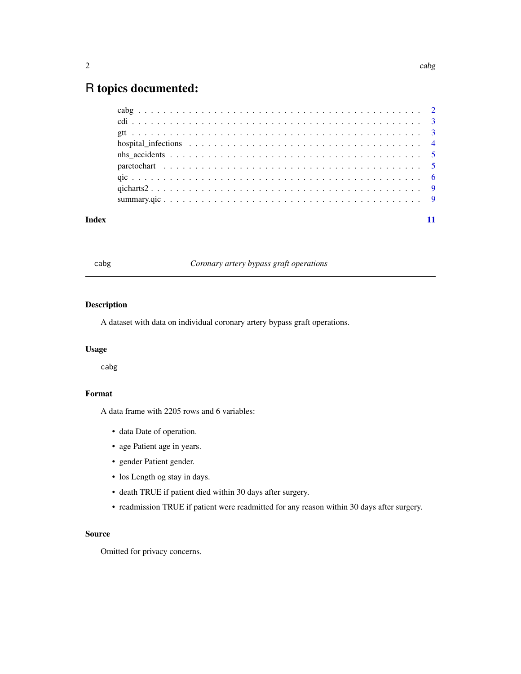### <span id="page-1-0"></span>R topics documented:

| Index |  |
|-------|--|

cabg *Coronary artery bypass graft operations*

#### Description

A dataset with data on individual coronary artery bypass graft operations.

#### Usage

cabg

#### Format

A data frame with 2205 rows and 6 variables:

- data Date of operation.
- age Patient age in years.
- gender Patient gender.
- los Length og stay in days.
- death TRUE if patient died within 30 days after surgery.
- readmission TRUE if patient were readmitted for any reason within 30 days after surgery.

#### Source

Omitted for privacy concerns.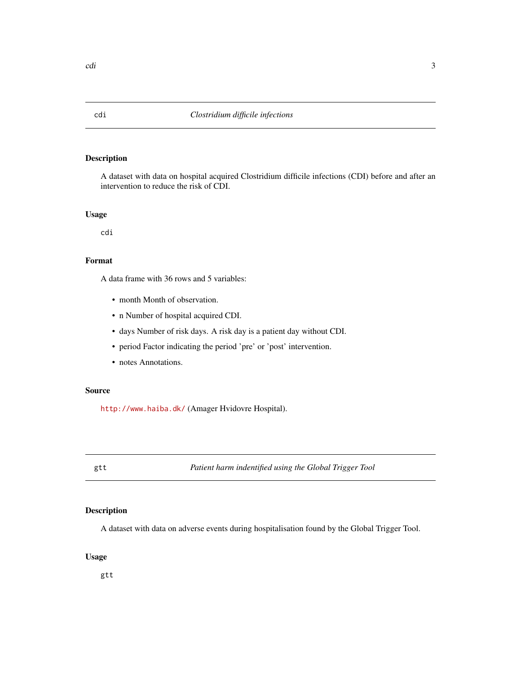#### Description

A dataset with data on hospital acquired Clostridium difficile infections (CDI) before and after an intervention to reduce the risk of CDI.

#### Usage

cdi

#### Format

A data frame with 36 rows and 5 variables:

- month Month of observation.
- n Number of hospital acquired CDI.
- days Number of risk days. A risk day is a patient day without CDI.
- period Factor indicating the period 'pre' or 'post' intervention.
- notes Annotations.

#### Source

<http://www.haiba.dk/> (Amager Hvidovre Hospital).

gtt *Patient harm indentified using the Global Trigger Tool*

#### Description

A dataset with data on adverse events during hospitalisation found by the Global Trigger Tool.

#### Usage

gtt

<span id="page-2-0"></span>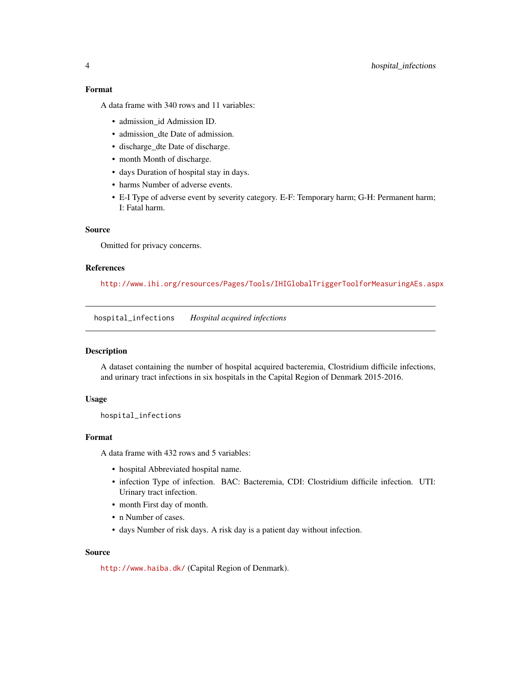#### <span id="page-3-0"></span>4 hospital\_infections

#### Format

A data frame with 340 rows and 11 variables:

- admission\_id Admission ID.
- admission\_dte Date of admission.
- discharge\_dte Date of discharge.
- month Month of discharge.
- days Duration of hospital stay in days.
- harms Number of adverse events.
- E-I Type of adverse event by severity category. E-F: Temporary harm; G-H: Permanent harm; I: Fatal harm.

#### Source

Omitted for privacy concerns.

#### References

<http://www.ihi.org/resources/Pages/Tools/IHIGlobalTriggerToolforMeasuringAEs.aspx>

hospital\_infections *Hospital acquired infections*

#### Description

A dataset containing the number of hospital acquired bacteremia, Clostridium difficile infections, and urinary tract infections in six hospitals in the Capital Region of Denmark 2015-2016.

#### Usage

hospital\_infections

#### Format

A data frame with 432 rows and 5 variables:

- hospital Abbreviated hospital name.
- infection Type of infection. BAC: Bacteremia, CDI: Clostridium difficile infection. UTI: Urinary tract infection.
- month First day of month.
- n Number of cases.
- days Number of risk days. A risk day is a patient day without infection.

#### Source

<http://www.haiba.dk/> (Capital Region of Denmark).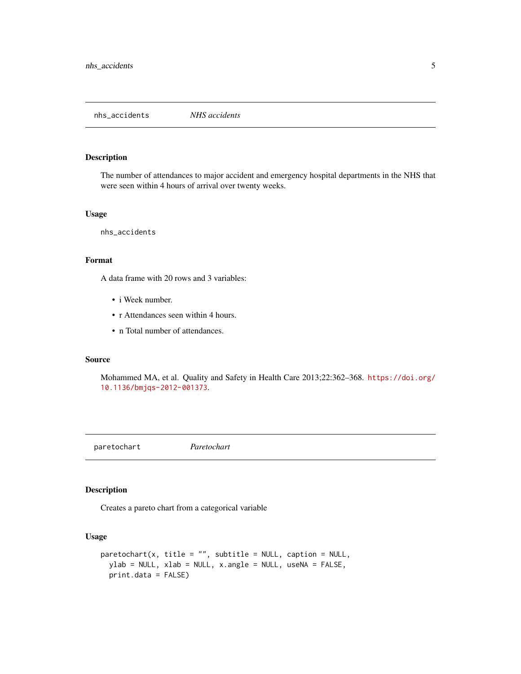<span id="page-4-0"></span>nhs\_accidents *NHS accidents*

#### Description

The number of attendances to major accident and emergency hospital departments in the NHS that were seen within 4 hours of arrival over twenty weeks.

#### Usage

nhs\_accidents

#### Format

A data frame with 20 rows and 3 variables:

- i Week number.
- r Attendances seen within 4 hours.
- n Total number of attendances.

#### Source

Mohammed MA, et al. Quality and Safety in Health Care 2013;22:362–368. [https://doi.org/](https://doi.org/10.1136/bmjqs-2012-001373) [10.1136/bmjqs-2012-001373](https://doi.org/10.1136/bmjqs-2012-001373).

paretochart *Paretochart*

#### Description

Creates a pareto chart from a categorical variable

#### Usage

```
parentochart(x, title = "", subtitle = NULL, caption = NULL,ylab = NULL, xlab = NULL, x.angle = NULL, useNA = FALSE,
 print.data = FALSE)
```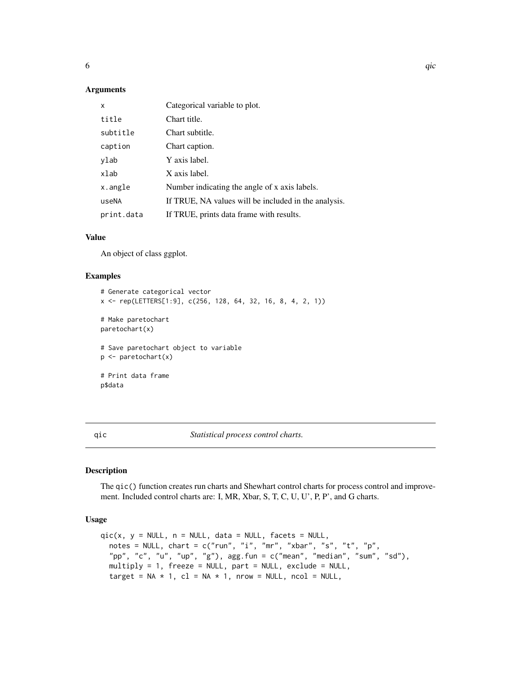#### <span id="page-5-0"></span>Arguments

| x          | Categorical variable to plot.                        |
|------------|------------------------------------------------------|
| title      | Chart title.                                         |
| subtitle   | Chart subtitle.                                      |
| caption    | Chart caption.                                       |
| ylab       | Y axis label.                                        |
| xlab       | X axis label.                                        |
| x.angle    | Number indicating the angle of x axis labels.        |
| useNA      | If TRUE, NA values will be included in the analysis. |
| print.data | If TRUE, prints data frame with results.             |

#### Value

An object of class ggplot.

#### Examples

```
# Generate categorical vector
x <- rep(LETTERS[1:9], c(256, 128, 64, 32, 16, 8, 4, 2, 1))
# Make paretochart
paretochart(x)
# Save paretochart object to variable
p <- paretochart(x)
# Print data frame
p$data
```
qic *Statistical process control charts.*

#### Description

The qic() function creates run charts and Shewhart control charts for process control and improvement. Included control charts are: I, MR, Xbar, S, T, C, U, U', P, P', and G charts.

#### Usage

```
qic(x, y = NULL, n = NULL, data = NULL, facets = NULL,notes = NULL, chart = c("run", "i", "mr", "xbar", "s", "t", "p","pp", "c", "u", "up", "g"), agg.fun = c("mean", "median", "sum", "sd"),
 multiply = 1, freeze = NULL, part = NULL, exclude = NULL,
  target = NA * 1, cl = NA * 1, nrow = NULL, ncol = NULL,
```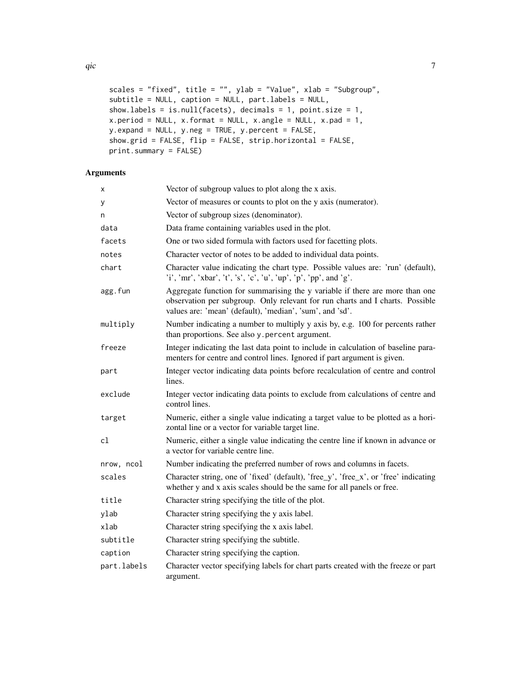```
qic \overline{q}
```

```
scales = "fixed", title = "", ylab = "Value", xlab = "Subgroup",
subtitle = NULL, caption = NULL, part.labels = NULL,
show.labels = is.null(facets), decimals = 1, point.size = 1,
x. period = NULL, x. format = NULL, x. angle = NULL, x. pad = 1,
y.expand = NULL, y.neg = TRUE, y.percent = FALSE,
show.grid = FALSE, flip = FALSE, strip.horizontal = FALSE,
print.summary = FALSE)
```
#### Arguments

| x           | Vector of subgroup values to plot along the x axis.                                                                                                                                                                       |
|-------------|---------------------------------------------------------------------------------------------------------------------------------------------------------------------------------------------------------------------------|
| у           | Vector of measures or counts to plot on the y axis (numerator).                                                                                                                                                           |
| n           | Vector of subgroup sizes (denominator).                                                                                                                                                                                   |
| data        | Data frame containing variables used in the plot.                                                                                                                                                                         |
| facets      | One or two sided formula with factors used for facetting plots.                                                                                                                                                           |
| notes       | Character vector of notes to be added to individual data points.                                                                                                                                                          |
| chart       | Character value indicating the chart type. Possible values are: 'run' (default),<br>'i', 'mr', 'xbar', 't', 's', 'c', 'u', 'up', 'p', 'pp', and 'g'.                                                                      |
| agg.fun     | Aggregate function for summarising the y variable if there are more than one<br>observation per subgroup. Only relevant for run charts and I charts. Possible<br>values are: 'mean' (default), 'median', 'sum', and 'sd'. |
| multiply    | Number indicating a number to multiply y axis by, e.g. 100 for percents rather<br>than proportions. See also y percent argument.                                                                                          |
| freeze      | Integer indicating the last data point to include in calculation of baseline para-<br>menters for centre and control lines. Ignored if part argument is given.                                                            |
| part        | Integer vector indicating data points before recalculation of centre and control<br>lines.                                                                                                                                |
| exclude     | Integer vector indicating data points to exclude from calculations of centre and<br>control lines.                                                                                                                        |
| target      | Numeric, either a single value indicating a target value to be plotted as a hori-<br>zontal line or a vector for variable target line.                                                                                    |
| cl          | Numeric, either a single value indicating the centre line if known in advance or<br>a vector for variable centre line.                                                                                                    |
| nrow, ncol  | Number indicating the preferred number of rows and columns in facets.                                                                                                                                                     |
| scales      | Character string, one of 'fixed' (default), 'free_y', 'free_x', or 'free' indicating<br>whether y and x axis scales should be the same for all panels or free.                                                            |
| title       | Character string specifying the title of the plot.                                                                                                                                                                        |
| ylab        | Character string specifying the y axis label.                                                                                                                                                                             |
| xlab        | Character string specifying the x axis label.                                                                                                                                                                             |
| subtitle    | Character string specifying the subtitle.                                                                                                                                                                                 |
| caption     | Character string specifying the caption.                                                                                                                                                                                  |
| part.labels | Character vector specifying labels for chart parts created with the freeze or part<br>argument.                                                                                                                           |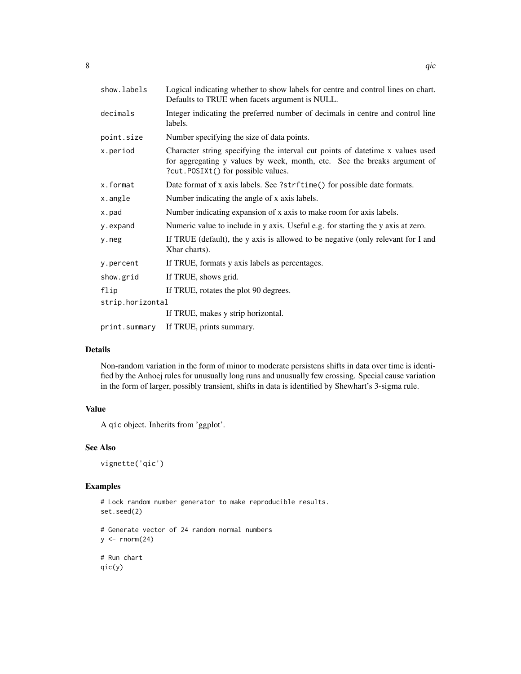| show.labels      | Logical indicating whether to show labels for centre and control lines on chart.<br>Defaults to TRUE when facets argument is NULL.                                                               |  |  |  |  |
|------------------|--------------------------------------------------------------------------------------------------------------------------------------------------------------------------------------------------|--|--|--|--|
| decimals         | Integer indicating the preferred number of decimals in centre and control line<br>labels.                                                                                                        |  |  |  |  |
| point.size       | Number specifying the size of data points.                                                                                                                                                       |  |  |  |  |
| x.period         | Character string specifying the interval cut points of date time x values used<br>for aggregating y values by week, month, etc. See the breaks argument of<br>?cut.POSIXt() for possible values. |  |  |  |  |
| x.format         | Date format of x axis labels. See ?strftime() for possible date formats.                                                                                                                         |  |  |  |  |
| x.angle          | Number indicating the angle of x axis labels.                                                                                                                                                    |  |  |  |  |
| x.pad            | Number indicating expansion of x axis to make room for axis labels.                                                                                                                              |  |  |  |  |
| y.expand         | Numeric value to include in y axis. Useful e.g. for starting the y axis at zero.                                                                                                                 |  |  |  |  |
| y.neg            | If TRUE (default), the y axis is allowed to be negative (only relevant for I and<br>Xbar charts).                                                                                                |  |  |  |  |
| y.percent        | If TRUE, formats y axis labels as percentages.                                                                                                                                                   |  |  |  |  |
| show.grid        | If TRUE, shows grid.                                                                                                                                                                             |  |  |  |  |
| flip             | If TRUE, rotates the plot 90 degrees.                                                                                                                                                            |  |  |  |  |
| strip.horizontal |                                                                                                                                                                                                  |  |  |  |  |
|                  | If TRUE, makes y strip horizontal.                                                                                                                                                               |  |  |  |  |
| print.summary    | If TRUE, prints summary.                                                                                                                                                                         |  |  |  |  |

#### Details

Non-random variation in the form of minor to moderate persistens shifts in data over time is identified by the Anhoej rules for unusually long runs and unusually few crossing. Special cause variation in the form of larger, possibly transient, shifts in data is identified by Shewhart's 3-sigma rule.

#### Value

A qic object. Inherits from 'ggplot'.

#### See Also

vignette('qic')

#### Examples

# Lock random number generator to make reproducible results. set.seed(2)

```
# Generate vector of 24 random normal numbers
y \leftarrow \text{norm}(24)
```
# Run chart qic(y)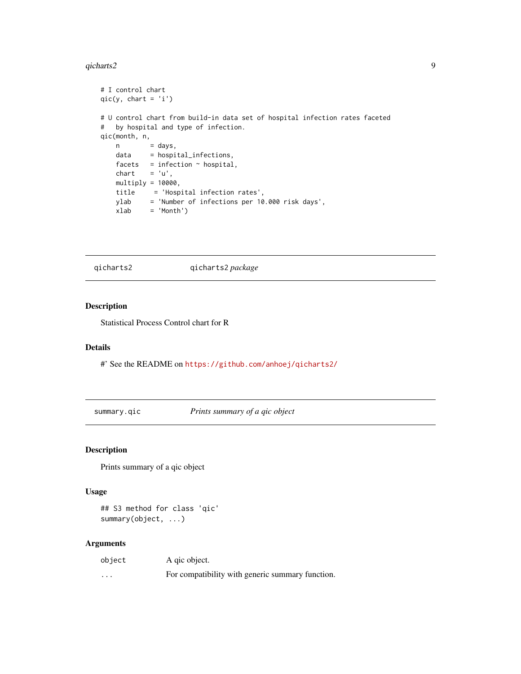#### <span id="page-8-0"></span>qicharts2 9 and 2012 12:00 page 1 and 2012 12:00 page 1 and 2012 12:00 page 1 and 2012 12:00 page 1 and 2012 1

```
# I control chart
qic(y, chart = 'i')# U control chart from build-in data set of hospital infection rates faceted
# by hospital and type of infection.
qic(month, n,
   n = days,
   data = hospital_infections,
   facets = infection \sim hospital,
   chart = 'u',multiply = 10000,
   title = 'Hospital infection rates',
   ylab = 'Number of infections per 10.000 risk days',
   xlab = 'Month')
```
qicharts2 qicharts2 *package*

#### Description

Statistical Process Control chart for R

#### Details

#' See the README on <https://github.com/anhoej/qicharts2/>

summary.qic *Prints summary of a qic object*

#### Description

Prints summary of a qic object

#### Usage

```
## S3 method for class 'qic'
summary(object, ...)
```
#### Arguments

| object   | A gic object.                                    |
|----------|--------------------------------------------------|
| $\cdots$ | For compatibility with generic summary function. |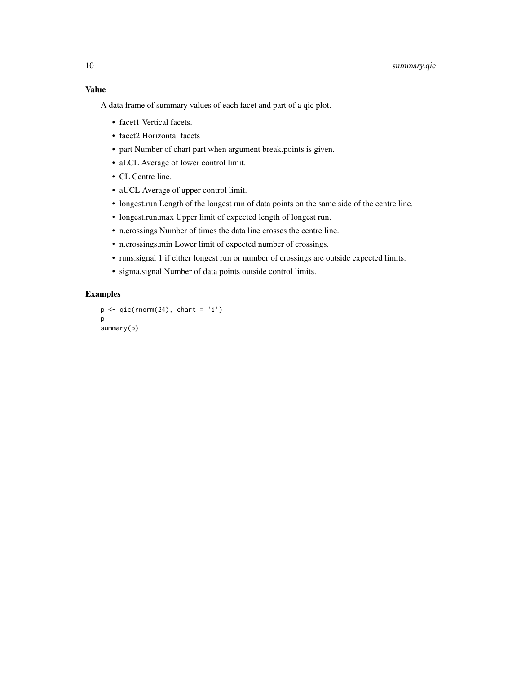#### Value

A data frame of summary values of each facet and part of a qic plot.

- facet1 Vertical facets.
- facet2 Horizontal facets
- part Number of chart part when argument break.points is given.
- aLCL Average of lower control limit.
- CL Centre line.
- aUCL Average of upper control limit.
- longest.run Length of the longest run of data points on the same side of the centre line.
- longest.run.max Upper limit of expected length of longest run.
- n.crossings Number of times the data line crosses the centre line.
- n.crossings.min Lower limit of expected number of crossings.
- runs.signal 1 if either longest run or number of crossings are outside expected limits.
- sigma.signal Number of data points outside control limits.

#### Examples

```
p \leftarrow qic(rnorm(24), chart = 'i')p
summary(p)
```